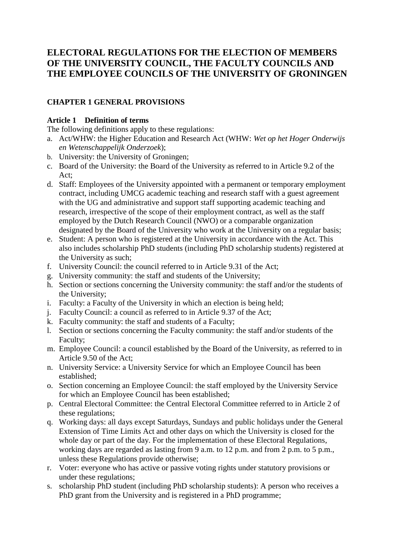# **ELECTORAL REGULATIONS FOR THE ELECTION OF MEMBERS OF THE UNIVERSITY COUNCIL, THE FACULTY COUNCILS AND THE EMPLOYEE COUNCILS OF THE UNIVERSITY OF GRONINGEN**

# **CHAPTER 1 GENERAL PROVISIONS**

# **Article 1 Definition of terms**

The following definitions apply to these regulations:

- a. Act/WHW: the Higher Education and Research Act (WHW: *Wet op het Hoger Onderwijs en Wetenschappelijk Onderzoek*);
- b. University: the University of Groningen;
- c. Board of the University: the Board of the University as referred to in Article 9.2 of the Act;
- d. Staff: Employees of the University appointed with a permanent or temporary employment contract, including UMCG academic teaching and research staff with a guest agreement with the UG and administrative and support staff supporting academic teaching and research, irrespective of the scope of their employment contract, as well as the staff employed by the Dutch Research Council (NWO) or a comparable organization designated by the Board of the University who work at the University on a regular basis;
- e. Student: A person who is registered at the University in accordance with the Act. This also includes scholarship PhD students (including PhD scholarship students) registered at the University as such;
- f. University Council: the council referred to in Article 9.31 of the Act;
- g. University community: the staff and students of the University;
- h. Section or sections concerning the University community: the staff and/or the students of the University;
- i. Faculty: a Faculty of the University in which an election is being held;
- j. Faculty Council: a council as referred to in Article 9.37 of the Act;
- k. Faculty community: the staff and students of a Faculty;
- l. Section or sections concerning the Faculty community: the staff and/or students of the Faculty;
- m. Employee Council: a council established by the Board of the University, as referred to in Article 9.50 of the Act;
- n. University Service: a University Service for which an Employee Council has been established;
- o. Section concerning an Employee Council: the staff employed by the University Service for which an Employee Council has been established;
- p. Central Electoral Committee: the Central Electoral Committee referred to in Article 2 of these regulations;
- q. Working days: all days except Saturdays, Sundays and public holidays under the General Extension of Time Limits Act and other days on which the University is closed for the whole day or part of the day. For the implementation of these Electoral Regulations, working days are regarded as lasting from 9 a.m. to 12 p.m. and from 2 p.m. to 5 p.m., unless these Regulations provide otherwise;
- r. Voter: everyone who has active or passive voting rights under statutory provisions or under these regulations;
- s. scholarship PhD student (including PhD scholarship students): A person who receives a PhD grant from the University and is registered in a PhD programme;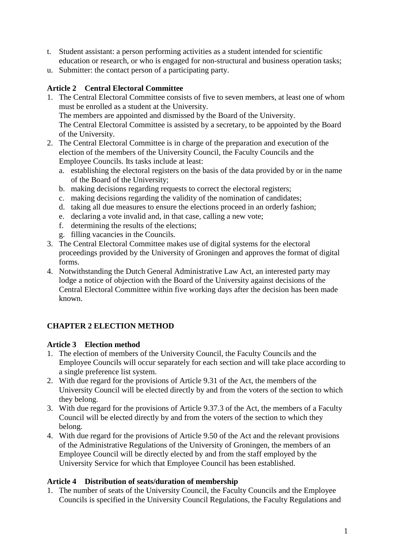- t. Student assistant: a person performing activities as a student intended for scientific education or research, or who is engaged for non-structural and business operation tasks;
- u. Submitter: the contact person of a participating party.

# **Article 2 Central Electoral Committee**

- 1. The Central Electoral Committee consists of five to seven members, at least one of whom must be enrolled as a student at the University. The members are appointed and dismissed by the Board of the University. The Central Electoral Committee is assisted by a secretary, to be appointed by the Board of the University.
- 2. The Central Electoral Committee is in charge of the preparation and execution of the election of the members of the University Council, the Faculty Councils and the Employee Councils. Its tasks include at least:
	- a. establishing the electoral registers on the basis of the data provided by or in the name of the Board of the University;
	- b. making decisions regarding requests to correct the electoral registers;
	- c. making decisions regarding the validity of the nomination of candidates;
	- d. taking all due measures to ensure the elections proceed in an orderly fashion;
	- e. declaring a vote invalid and, in that case, calling a new vote;
	- f. determining the results of the elections;
	- g. filling vacancies in the Councils.
- 3. The Central Electoral Committee makes use of digital systems for the electoral proceedings provided by the University of Groningen and approves the format of digital forms.
- 4. Notwithstanding the Dutch General Administrative Law Act, an interested party may lodge a notice of objection with the Board of the University against decisions of the Central Electoral Committee within five working days after the decision has been made known.

# **CHAPTER 2 ELECTION METHOD**

### **Article 3 Election method**

- 1. The election of members of the University Council, the Faculty Councils and the Employee Councils will occur separately for each section and will take place according to a single preference list system.
- 2. With due regard for the provisions of Article 9.31 of the Act, the members of the University Council will be elected directly by and from the voters of the section to which they belong.
- 3. With due regard for the provisions of Article 9.37.3 of the Act, the members of a Faculty Council will be elected directly by and from the voters of the section to which they belong.
- 4. With due regard for the provisions of Article 9.50 of the Act and the relevant provisions of the Administrative Regulations of the University of Groningen, the members of an Employee Council will be directly elected by and from the staff employed by the University Service for which that Employee Council has been established.

#### **Article 4 Distribution of seats/duration of membership**

1. The number of seats of the University Council, the Faculty Councils and the Employee Councils is specified in the University Council Regulations, the Faculty Regulations and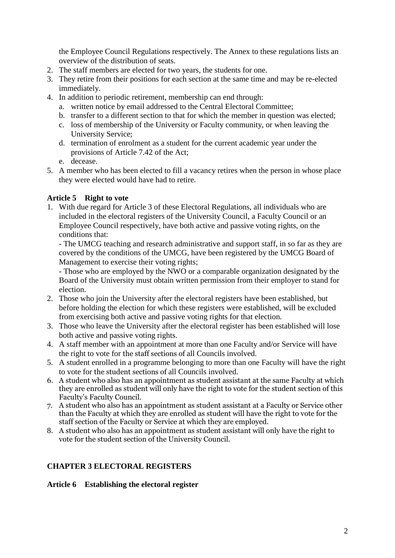the Employee Council Regulations respectively. The Annex to these regulations lists an overview of the distribution of seats.

- 2. The staff members are elected for two years, the students for one.
- 3. They retire from their positions for each section at the same time and may be re-elected immediately.
- 4. In addition to periodic retirement, membership can end through:
	- a. written notice by email addressed to the Central Electoral Committee;
	- b. transfer to a different section to that for which the member in question was elected;
	- c. loss of membership of the University or Faculty community, or when leaving the University Service;
	- d. termination of enrolment as a student for the current academic year under the provisions of Article 7.42 of the Act;
	- e. decease.
- 5. A member who has been elected to fill a vacancy retires when the person in whose place they were elected would have had to retire.

#### **Article 5 Right to vote**

1. With due regard for Article 3 of these Electoral Regulations, all individuals who are included in the electoral registers of the University Council, a Faculty Council or an Employee Council respectively, have both active and passive voting rights, on the conditions that:

- The UMCG teaching and research administrative and support staff, in so far as they are covered by the conditions of the UMCG, have been registered by the UMCG Board of Management to exercise their voting rights;

- Those who are employed by the NWO or a comparable organization designated by the Board of the University must obtain written permission from their employer to stand for election.

- 2. Those who join the University after the electoral registers have been established, but before holding the election for which these registers were established, will be excluded from exercising both active and passive voting rights for that election.
- 3. Those who leave the University after the electoral register has been established will lose both active and passive voting rights.
- 4. A staff member with an appointment at more than one Faculty and/or Service will have the right to vote for the staff sections of all Councils involved.
- 5. A student enrolled in a programme belonging to more than one Faculty will have the right to vote for the student sections of all Councils involved.
- 6. A student who also has an appointment as student assistant at the same Faculty at which they are enrolled as student will only have the right to vote for the student section of this Faculty's Faculty Council.
- 7. A student who also has an appointment as student assistant at a Faculty or Service other than the Faculty at which they are enrolled as student will have the right to vote for the staff section of the Faculty or Service at which they are employed.
- 8. A student who also has an appointment as student assistant will only have the right to vote for the student section of the University Council.

### **CHAPTER 3 ELECTORAL REGISTERS**

#### **Article 6 Establishing the electoral register**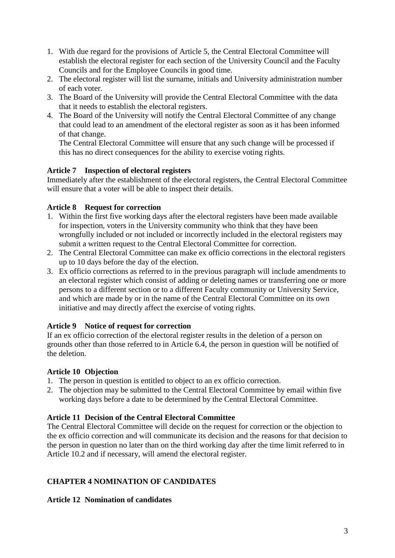- 1. With due regard for the provisions of Article 5, the Central Electoral Committee will establish the electoral register for each section of the University Council and the Faculty Councils and for the Employee Councils in good time.
- 2. The electoral register will list the surname, initials and University administration number of each voter.
- 3. The Board of the University will provide the Central Electoral Committee with the data that it needs to establish the electoral registers.
- 4. The Board of the University will notify the Central Electoral Committee of any change that could lead to an amendment of the electoral register as soon as it has been informed of that change.

The Central Electoral Committee will ensure that any such change will be processed if this has no direct consequences for the ability to exercise voting rights.

# **Article 7 Inspection of electoral registers**

Immediately after the establishment of the electoral registers, the Central Electoral Committee will ensure that a voter will be able to inspect their details.

# **Article 8 Request for correction**

- 1. Within the first five working days after the electoral registers have been made available for inspection, voters in the University community who think that they have been wrongfully included or not included or incorrectly included in the electoral registers may submit a written request to the Central Electoral Committee for correction.
- 2. The Central Electoral Committee can make ex officio corrections in the electoral registers up to 10 days before the day of the election.
- 3. Ex officio corrections as referred to in the previous paragraph will include amendments to an electoral register which consist of adding or deleting names or transferring one or more persons to a different section or to a different Faculty community or University Service, and which are made by or in the name of the Central Electoral Committee on its own initiative and may directly affect the exercise of voting rights.

# **Article 9 Notice of request for correction**

If an ex officio correction of the electoral register results in the deletion of a person on grounds other than those referred to in Article 6.4, the person in question will be notified of the deletion.

# **Article 10 Objection**

- 1. The person in question is entitled to object to an ex officio correction.
- 2. The objection may be submitted to the Central Electoral Committee by email within five working days before a date to be determined by the Central Electoral Committee.

# **Article 11 Decision of the Central Electoral Committee**

The Central Electoral Committee will decide on the request for correction or the objection to the ex officio correction and will communicate its decision and the reasons for that decision to the person in question no later than on the third working day after the time limit referred to in Article 10.2 and if necessary, will amend the electoral register.

# **CHAPTER 4 NOMINATION OF CANDIDATES**

# **Article 12 Nomination of candidates**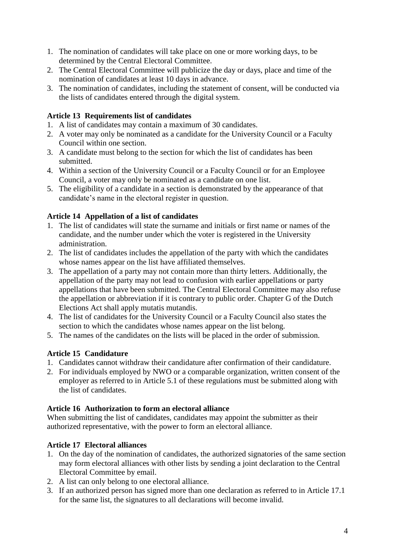- 1. The nomination of candidates will take place on one or more working days, to be determined by the Central Electoral Committee.
- 2. The Central Electoral Committee will publicize the day or days, place and time of the nomination of candidates at least 10 days in advance.
- 3. The nomination of candidates, including the statement of consent, will be conducted via the lists of candidates entered through the digital system.

# **Article 13 Requirements list of candidates**

- 1. A list of candidates may contain a maximum of 30 candidates.
- 2. A voter may only be nominated as a candidate for the University Council or a Faculty Council within one section.
- 3. A candidate must belong to the section for which the list of candidates has been submitted.
- 4. Within a section of the University Council or a Faculty Council or for an Employee Council, a voter may only be nominated as a candidate on one list.
- 5. The eligibility of a candidate in a section is demonstrated by the appearance of that candidate's name in the electoral register in question.

# **Article 14 Appellation of a list of candidates**

- 1. The list of candidates will state the surname and initials or first name or names of the candidate, and the number under which the voter is registered in the University administration.
- 2. The list of candidates includes the appellation of the party with which the candidates whose names appear on the list have affiliated themselves.
- 3. The appellation of a party may not contain more than thirty letters. Additionally, the appellation of the party may not lead to confusion with earlier appellations or party appellations that have been submitted. The Central Electoral Committee may also refuse the appellation or abbreviation if it is contrary to public order. Chapter G of the Dutch Elections Act shall apply mutatis mutandis.
- 4. The list of candidates for the University Council or a Faculty Council also states the section to which the candidates whose names appear on the list belong.
- 5. The names of the candidates on the lists will be placed in the order of submission.

# **Article 15 Candidature**

- 1. Candidates cannot withdraw their candidature after confirmation of their candidature.
- 2. For individuals employed by NWO or a comparable organization, written consent of the employer as referred to in Article 5.1 of these regulations must be submitted along with the list of candidates.

### **Article 16 Authorization to form an electoral alliance**

When submitting the list of candidates, candidates may appoint the submitter as their authorized representative, with the power to form an electoral alliance.

# **Article 17 Electoral alliances**

- 1. On the day of the nomination of candidates, the authorized signatories of the same section may form electoral alliances with other lists by sending a joint declaration to the Central Electoral Committee by email.
- 2. A list can only belong to one electoral alliance.
- 3. If an authorized person has signed more than one declaration as referred to in Article 17.1 for the same list, the signatures to all declarations will become invalid.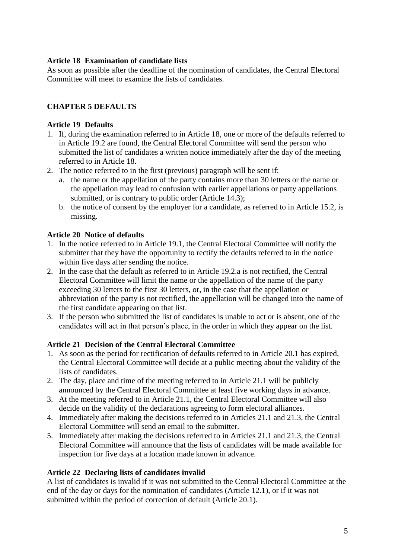# **Article 18 Examination of candidate lists**

As soon as possible after the deadline of the nomination of candidates, the Central Electoral Committee will meet to examine the lists of candidates.

# **CHAPTER 5 DEFAULTS**

### **Article 19 Defaults**

- 1. If, during the examination referred to in Article 18, one or more of the defaults referred to in Article 19.2 are found, the Central Electoral Committee will send the person who submitted the list of candidates a written notice immediately after the day of the meeting referred to in Article 18.
- 2. The notice referred to in the first (previous) paragraph will be sent if:
	- a. the name or the appellation of the party contains more than 30 letters or the name or the appellation may lead to confusion with earlier appellations or party appellations submitted, or is contrary to public order (Article 14.3);
	- b. the notice of consent by the employer for a candidate, as referred to in Article 15.2, is missing.

### **Article 20 Notice of defaults**

- 1. In the notice referred to in Article 19.1, the Central Electoral Committee will notify the submitter that they have the opportunity to rectify the defaults referred to in the notice within five days after sending the notice.
- 2. In the case that the default as referred to in Article 19.2.a is not rectified, the Central Electoral Committee will limit the name or the appellation of the name of the party exceeding 30 letters to the first 30 letters, or, in the case that the appellation or abbreviation of the party is not rectified, the appellation will be changed into the name of the first candidate appearing on that list.
- 3. If the person who submitted the list of candidates is unable to act or is absent, one of the candidates will act in that person's place, in the order in which they appear on the list.

### **Article 21 Decision of the Central Electoral Committee**

- 1. As soon as the period for rectification of defaults referred to in Article 20.1 has expired, the Central Electoral Committee will decide at a public meeting about the validity of the lists of candidates.
- 2. The day, place and time of the meeting referred to in Article 21.1 will be publicly announced by the Central Electoral Committee at least five working days in advance.
- 3. At the meeting referred to in Article 21.1, the Central Electoral Committee will also decide on the validity of the declarations agreeing to form electoral alliances.
- 4. Immediately after making the decisions referred to in Articles 21.1 and 21.3, the Central Electoral Committee will send an email to the submitter.
- 5. Immediately after making the decisions referred to in Articles 21.1 and 21.3, the Central Electoral Committee will announce that the lists of candidates will be made available for inspection for five days at a location made known in advance.

### **Article 22 Declaring lists of candidates invalid**

A list of candidates is invalid if it was not submitted to the Central Electoral Committee at the end of the day or days for the nomination of candidates (Article 12.1), or if it was not submitted within the period of correction of default (Article 20.1).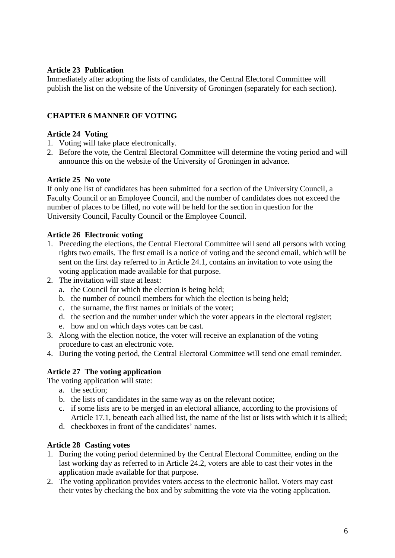### **Article 23 Publication**

Immediately after adopting the lists of candidates, the Central Electoral Committee will publish the list on the website of the University of Groningen (separately for each section).

### **CHAPTER 6 MANNER OF VOTING**

#### **Article 24 Voting**

- 1. Voting will take place electronically.
- 2. Before the vote, the Central Electoral Committee will determine the voting period and will announce this on the website of the University of Groningen in advance.

#### **Article 25 No vote**

If only one list of candidates has been submitted for a section of the University Council, a Faculty Council or an Employee Council, and the number of candidates does not exceed the number of places to be filled, no vote will be held for the section in question for the University Council, Faculty Council or the Employee Council.

#### **Article 26 Electronic voting**

- 1. Preceding the elections, the Central Electoral Committee will send all persons with voting rights two emails. The first email is a notice of voting and the second email, which will be sent on the first day referred to in Article 24.1, contains an invitation to vote using the voting application made available for that purpose.
- 2. The invitation will state at least:
	- a. the Council for which the election is being held;
	- b. the number of council members for which the election is being held;
	- c. the surname, the first names or initials of the voter;
	- d. the section and the number under which the voter appears in the electoral register;
	- e. how and on which days votes can be cast.
- 3. Along with the election notice, the voter will receive an explanation of the voting procedure to cast an electronic vote.
- 4. During the voting period, the Central Electoral Committee will send one email reminder.

### **Article 27 The voting application**

The voting application will state:

- a. the section;
- b. the lists of candidates in the same way as on the relevant notice;
- c. if some lists are to be merged in an electoral alliance, according to the provisions of Article 17.1, beneath each allied list, the name of the list or lists with which it is allied;
- d. checkboxes in front of the candidates' names.

# **Article 28 Casting votes**

- 1. During the voting period determined by the Central Electoral Committee, ending on the last working day as referred to in Article 24.2, voters are able to cast their votes in the application made available for that purpose.
- 2. The voting application provides voters access to the electronic ballot. Voters may cast their votes by checking the box and by submitting the vote via the voting application.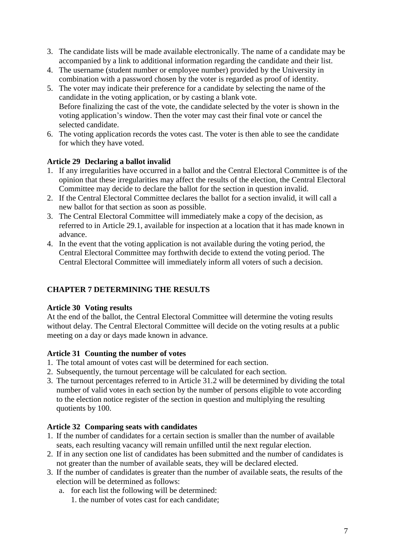- 3. The candidate lists will be made available electronically. The name of a candidate may be accompanied by a link to additional information regarding the candidate and their list.
- 4. The username (student number or employee number) provided by the University in combination with a password chosen by the voter is regarded as proof of identity.
- 5. The voter may indicate their preference for a candidate by selecting the name of the candidate in the voting application, or by casting a blank vote. Before finalizing the cast of the vote, the candidate selected by the voter is shown in the voting application's window. Then the voter may cast their final vote or cancel the selected candidate.
- 6. The voting application records the votes cast. The voter is then able to see the candidate for which they have voted.

# **Article 29 Declaring a ballot invalid**

- 1. If any irregularities have occurred in a ballot and the Central Electoral Committee is of the opinion that these irregularities may affect the results of the election, the Central Electoral Committee may decide to declare the ballot for the section in question invalid.
- 2. If the Central Electoral Committee declares the ballot for a section invalid, it will call a new ballot for that section as soon as possible.
- 3. The Central Electoral Committee will immediately make a copy of the decision, as referred to in Article 29.1, available for inspection at a location that it has made known in advance.
- 4. In the event that the voting application is not available during the voting period, the Central Electoral Committee may forthwith decide to extend the voting period. The Central Electoral Committee will immediately inform all voters of such a decision.

# **CHAPTER 7 DETERMINING THE RESULTS**

### **Article 30 Voting results**

At the end of the ballot, the Central Electoral Committee will determine the voting results without delay. The Central Electoral Committee will decide on the voting results at a public meeting on a day or days made known in advance.

# **Article 31 Counting the number of votes**

- 1. The total amount of votes cast will be determined for each section.
- 2. Subsequently, the turnout percentage will be calculated for each section.
- 3. The turnout percentages referred to in Article 31.2 will be determined by dividing the total number of valid votes in each section by the number of persons eligible to vote according to the election notice register of the section in question and multiplying the resulting quotients by 100.

# **Article 32 Comparing seats with candidates**

- 1. If the number of candidates for a certain section is smaller than the number of available seats, each resulting vacancy will remain unfilled until the next regular election.
- 2. If in any section one list of candidates has been submitted and the number of candidates is not greater than the number of available seats, they will be declared elected.
- 3. If the number of candidates is greater than the number of available seats, the results of the election will be determined as follows:
	- a. for each list the following will be determined:
		- 1. the number of votes cast for each candidate;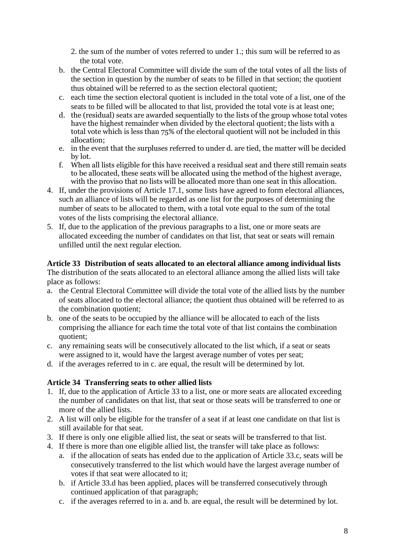2. the sum of the number of votes referred to under 1.; this sum will be referred to as the total vote.

- b. the Central Electoral Committee will divide the sum of the total votes of all the lists of the section in question by the number of seats to be filled in that section; the quotient thus obtained will be referred to as the section electoral quotient;
- c. each time the section electoral quotient is included in the total vote of a list, one of the seats to be filled will be allocated to that list, provided the total vote is at least one;
- d. the (residual) seats are awarded sequentially to the lists of the group whose total votes have the highest remainder when divided by the electoral quotient; the lists with a total vote which is less than 75% of the electoral quotient will not be included in this allocation;
- e. in the event that the surpluses referred to under d. are tied, the matter will be decided by lot.
- f. When all lists eligible for this have received a residual seat and there still remain seats to be allocated, these seats will be allocated using the method of the highest average, with the proviso that no lists will be allocated more than one seat in this allocation.
- 4. If, under the provisions of Article 17.1, some lists have agreed to form electoral alliances, such an alliance of lists will be regarded as one list for the purposes of determining the number of seats to be allocated to them, with a total vote equal to the sum of the total votes of the lists comprising the electoral alliance.
- 5. If, due to the application of the previous paragraphs to a list, one or more seats are allocated exceeding the number of candidates on that list, that seat or seats will remain unfilled until the next regular election.

# **Article 33 Distribution of seats allocated to an electoral alliance among individual lists**

The distribution of the seats allocated to an electoral alliance among the allied lists will take place as follows:

- a. the Central Electoral Committee will divide the total vote of the allied lists by the number of seats allocated to the electoral alliance; the quotient thus obtained will be referred to as the combination quotient;
- b. one of the seats to be occupied by the alliance will be allocated to each of the lists comprising the alliance for each time the total vote of that list contains the combination quotient;
- c. any remaining seats will be consecutively allocated to the list which, if a seat or seats were assigned to it, would have the largest average number of votes per seat;
- d. if the averages referred to in c. are equal, the result will be determined by lot.

### **Article 34 Transferring seats to other allied lists**

- 1. If, due to the application of Article 33 to a list, one or more seats are allocated exceeding the number of candidates on that list, that seat or those seats will be transferred to one or more of the allied lists.
- 2. A list will only be eligible for the transfer of a seat if at least one candidate on that list is still available for that seat.
- 3. If there is only one eligible allied list, the seat or seats will be transferred to that list.
- 4. If there is more than one eligible allied list, the transfer will take place as follows:
	- a. if the allocation of seats has ended due to the application of Article 33.c, seats will be consecutively transferred to the list which would have the largest average number of votes if that seat were allocated to it;
	- b. if Article 33.d has been applied, places will be transferred consecutively through continued application of that paragraph;
	- c. if the averages referred to in a. and b. are equal, the result will be determined by lot.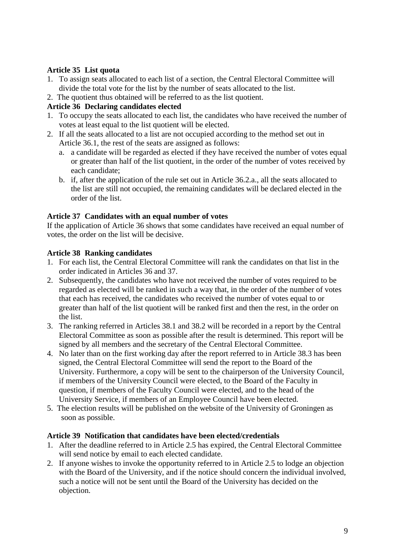# **Article 35 List quota**

- 1. To assign seats allocated to each list of a section, the Central Electoral Committee will divide the total vote for the list by the number of seats allocated to the list.
- 2. The quotient thus obtained will be referred to as the list quotient.

# **Article 36 Declaring candidates elected**

- 1. To occupy the seats allocated to each list, the candidates who have received the number of votes at least equal to the list quotient will be elected.
- 2. If all the seats allocated to a list are not occupied according to the method set out in Article 36.1, the rest of the seats are assigned as follows:
	- a. a candidate will be regarded as elected if they have received the number of votes equal or greater than half of the list quotient, in the order of the number of votes received by each candidate;
	- b. if, after the application of the rule set out in Article 36.2.a., all the seats allocated to the list are still not occupied, the remaining candidates will be declared elected in the order of the list.

### **Article 37 Candidates with an equal number of votes**

If the application of Article 36 shows that some candidates have received an equal number of votes, the order on the list will be decisive.

### **Article 38 Ranking candidates**

- 1. For each list, the Central Electoral Committee will rank the candidates on that list in the order indicated in Articles 36 and 37.
- 2. Subsequently, the candidates who have not received the number of votes required to be regarded as elected will be ranked in such a way that, in the order of the number of votes that each has received, the candidates who received the number of votes equal to or greater than half of the list quotient will be ranked first and then the rest, in the order on the list.
- 3. The ranking referred in Articles 38.1 and 38.2 will be recorded in a report by the Central Electoral Committee as soon as possible after the result is determined. This report will be signed by all members and the secretary of the Central Electoral Committee.
- 4. No later than on the first working day after the report referred to in Article 38.3 has been signed, the Central Electoral Committee will send the report to the Board of the University. Furthermore, a copy will be sent to the chairperson of the University Council, if members of the University Council were elected, to the Board of the Faculty in question, if members of the Faculty Council were elected, and to the head of the University Service, if members of an Employee Council have been elected.
- 5. The election results will be published on the website of the University of Groningen as soon as possible.

### **Article 39 Notification that candidates have been elected/credentials**

- 1. After the deadline referred to in Article 2.5 has expired, the Central Electoral Committee will send notice by email to each elected candidate.
- 2. If anyone wishes to invoke the opportunity referred to in Article 2.5 to lodge an objection with the Board of the University, and if the notice should concern the individual involved, such a notice will not be sent until the Board of the University has decided on the objection.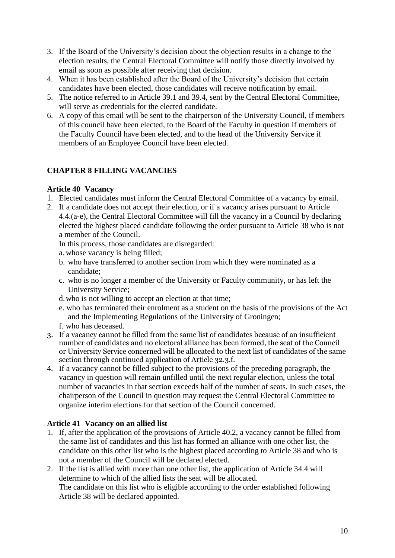- 3. If the Board of the University's decision about the objection results in a change to the election results, the Central Electoral Committee will notify those directly involved by email as soon as possible after receiving that decision.
- 4. When it has been established after the Board of the University's decision that certain candidates have been elected, those candidates will receive notification by email.
- 5. The notice referred to in Article 39.1 and 39.4, sent by the Central Electoral Committee, will serve as credentials for the elected candidate.
- 6. A copy of this email will be sent to the chairperson of the University Council, if members of this council have been elected, to the Board of the Faculty in question if members of the Faculty Council have been elected, and to the head of the University Service if members of an Employee Council have been elected.

# **CHAPTER 8 FILLING VACANCIES**

# **Article 40 Vacancy**

- 1. Elected candidates must inform the Central Electoral Committee of a vacancy by email.
- 2. If a candidate does not accept their election, or if a vacancy arises pursuant to Article 4.4.(a-e), the Central Electoral Committee will fill the vacancy in a Council by declaring elected the highest placed candidate following the order pursuant to Article 38 who is not a member of the Council.

In this process, those candidates are disregarded:

- a. whose vacancy is being filled;
- b. who have transferred to another section from which they were nominated as a candidate;
- c. who is no longer a member of the University or Faculty community, or has left the University Service;
- d.who is not willing to accept an election at that time;
- e. who has terminated their enrolment as a student on the basis of the provisions of the Act and the Implementing Regulations of the University of Groningen;
- f. who has deceased.
- 3. If a vacancy cannot be filled from the same list of candidates because of an insufficient number of candidates and no electoral alliance has been formed, the seat of the Council or University Service concerned will be allocated to the next list of candidates of the same section through continued application of Article 32.3.f.
- 4. If a vacancy cannot be filled subject to the provisions of the preceding paragraph, the vacancy in question will remain unfilled until the next regular election, unless the total number of vacancies in that section exceeds half of the number of seats. In such cases, the chairperson of the Council in question may request the Central Electoral Committee to organize interim elections for that section of the Council concerned.

# **Article 41 Vacancy on an allied list**

- 1. If, after the application of the provisions of Article 40.2, a vacancy cannot be filled from the same list of candidates and this list has formed an alliance with one other list, the candidate on this other list who is the highest placed according to Article 38 and who is not a member of the Council will be declared elected.
- 2. If the list is allied with more than one other list, the application of Article 34.4 will determine to which of the allied lists the seat will be allocated. The candidate on this list who is eligible according to the order established following Article 38 will be declared appointed.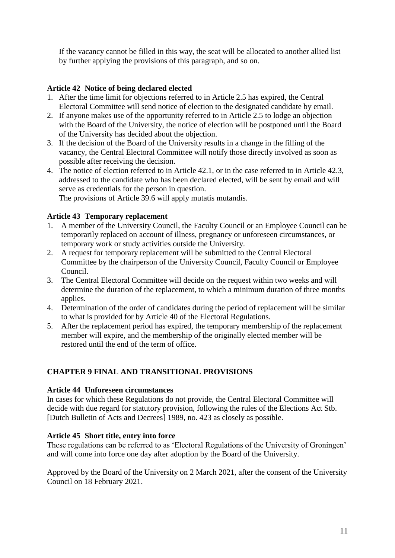If the vacancy cannot be filled in this way, the seat will be allocated to another allied list by further applying the provisions of this paragraph, and so on.

# **Article 42 Notice of being declared elected**

- 1. After the time limit for objections referred to in Article 2.5 has expired, the Central Electoral Committee will send notice of election to the designated candidate by email.
- 2. If anyone makes use of the opportunity referred to in Article 2.5 to lodge an objection with the Board of the University, the notice of election will be postponed until the Board of the University has decided about the objection.
- 3. If the decision of the Board of the University results in a change in the filling of the vacancy, the Central Electoral Committee will notify those directly involved as soon as possible after receiving the decision.
- 4. The notice of election referred to in Article 42.1, or in the case referred to in Article 42.3, addressed to the candidate who has been declared elected, will be sent by email and will serve as credentials for the person in question.

The provisions of Article 39.6 will apply mutatis mutandis.

### **Article 43 Temporary replacement**

- 1. A member of the University Council, the Faculty Council or an Employee Council can be temporarily replaced on account of illness, pregnancy or unforeseen circumstances, or temporary work or study activities outside the University.
- 2. A request for temporary replacement will be submitted to the Central Electoral Committee by the chairperson of the University Council, Faculty Council or Employee Council.
- 3. The Central Electoral Committee will decide on the request within two weeks and will determine the duration of the replacement, to which a minimum duration of three months applies.
- 4. Determination of the order of candidates during the period of replacement will be similar to what is provided for by Article 40 of the Electoral Regulations.
- 5. After the replacement period has expired, the temporary membership of the replacement member will expire, and the membership of the originally elected member will be restored until the end of the term of office.

# **CHAPTER 9 FINAL AND TRANSITIONAL PROVISIONS**

### **Article 44 Unforeseen circumstances**

In cases for which these Regulations do not provide, the Central Electoral Committee will decide with due regard for statutory provision, following the rules of the Elections Act Stb. [Dutch Bulletin of Acts and Decrees] 1989, no. 423 as closely as possible.

### **Article 45 Short title, entry into force**

These regulations can be referred to as 'Electoral Regulations of the University of Groningen' and will come into force one day after adoption by the Board of the University.

Approved by the Board of the University on 2 March 2021, after the consent of the University Council on 18 February 2021.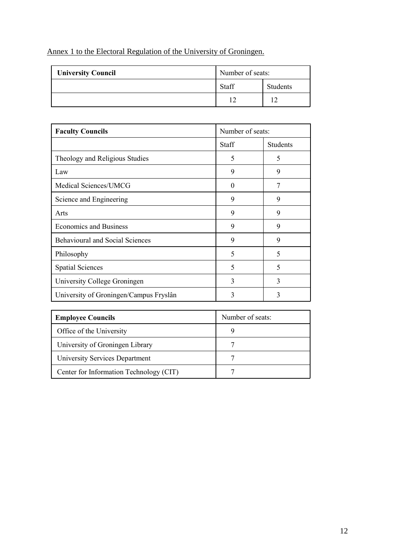# Annex 1 to the Electoral Regulation of the University of Groningen.

| <b>University Council</b> | Number of seats: |          |
|---------------------------|------------------|----------|
|                           | Staff            | Students |
|                           |                  |          |

| <b>Faculty Councils</b>                | Number of seats: |                 |
|----------------------------------------|------------------|-----------------|
|                                        | Staff            | <b>Students</b> |
| Theology and Religious Studies         | 5                | 5               |
| Law                                    | 9                | 9               |
| Medical Sciences/UMCG                  | $\Omega$         | 7               |
| Science and Engineering                | 9                | 9               |
| Arts                                   | 9                | 9               |
| <b>Economics and Business</b>          | 9                | 9               |
| <b>Behavioural and Social Sciences</b> | 9                | 9               |
| Philosophy                             | 5                | 5               |
| <b>Spatial Sciences</b>                | 5                | 5               |
| University College Groningen           | 3                | 3               |
| University of Groningen/Campus Fryslân | 3                | 3               |

| <b>Employee Councils</b>                | Number of seats: |
|-----------------------------------------|------------------|
| Office of the University                | q                |
| University of Groningen Library         |                  |
| University Services Department          | 7                |
| Center for Information Technology (CIT) | ⇁                |